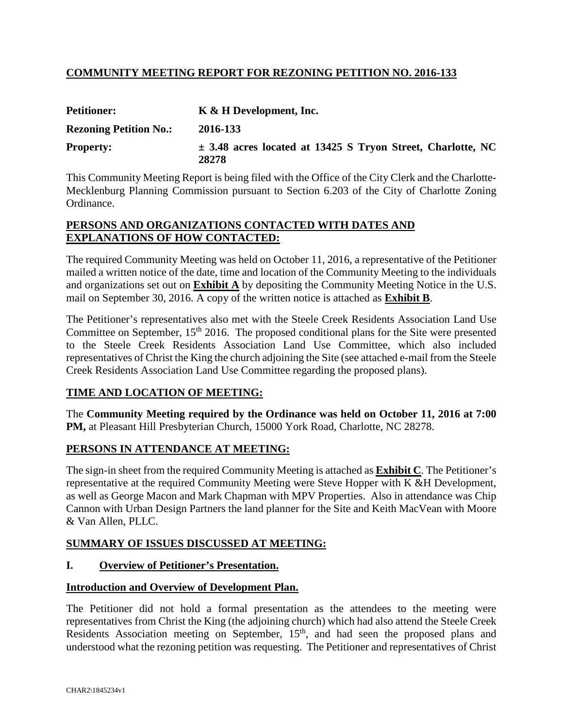# **COMMUNITY MEETING REPORT FOR REZONING PETITION NO. 2016-133**

| <b>Petitioner:</b>            | K & H Development, Inc.                                                  |  |  |  |
|-------------------------------|--------------------------------------------------------------------------|--|--|--|
| <b>Rezoning Petition No.:</b> | 2016-133                                                                 |  |  |  |
| <b>Property:</b>              | $\pm$ 3.48 acres located at 13425 S Tryon Street, Charlotte, NC<br>28278 |  |  |  |

This Community Meeting Report is being filed with the Office of the City Clerk and the Charlotte-Mecklenburg Planning Commission pursuant to Section 6.203 of the City of Charlotte Zoning Ordinance.

## **PERSONS AND ORGANIZATIONS CONTACTED WITH DATES AND EXPLANATIONS OF HOW CONTACTED:**

The required Community Meeting was held on October 11, 2016, a representative of the Petitioner mailed a written notice of the date, time and location of the Community Meeting to the individuals and organizations set out on **Exhibit A** by depositing the Community Meeting Notice in the U.S. mail on September 30, 2016. A copy of the written notice is attached as **Exhibit B**.

The Petitioner's representatives also met with the Steele Creek Residents Association Land Use Committee on September, 15<sup>th</sup> 2016. The proposed conditional plans for the Site were presented to the Steele Creek Residents Association Land Use Committee, which also included representatives of Christ the King the church adjoining the Site (see attached e-mail from the Steele Creek Residents Association Land Use Committee regarding the proposed plans).

# **TIME AND LOCATION OF MEETING:**

The **Community Meeting required by the Ordinance was held on October 11, 2016 at 7:00 PM,** at Pleasant Hill Presbyterian Church, 15000 York Road, Charlotte, NC 28278.

# **PERSONS IN ATTENDANCE AT MEETING:**

The sign-in sheet from the required Community Meeting is attached as **Exhibit C**. The Petitioner's representative at the required Community Meeting were Steve Hopper with K &H Development, as well as George Macon and Mark Chapman with MPV Properties. Also in attendance was Chip Cannon with Urban Design Partners the land planner for the Site and Keith MacVean with Moore & Van Allen, PLLC.

# **SUMMARY OF ISSUES DISCUSSED AT MEETING:**

## **I. Overview of Petitioner's Presentation.**

## **Introduction and Overview of Development Plan.**

The Petitioner did not hold a formal presentation as the attendees to the meeting were representatives from Christ the King (the adjoining church) which had also attend the Steele Creek Residents Association meeting on September, 15<sup>th</sup>, and had seen the proposed plans and understood what the rezoning petition was requesting. The Petitioner and representatives of Christ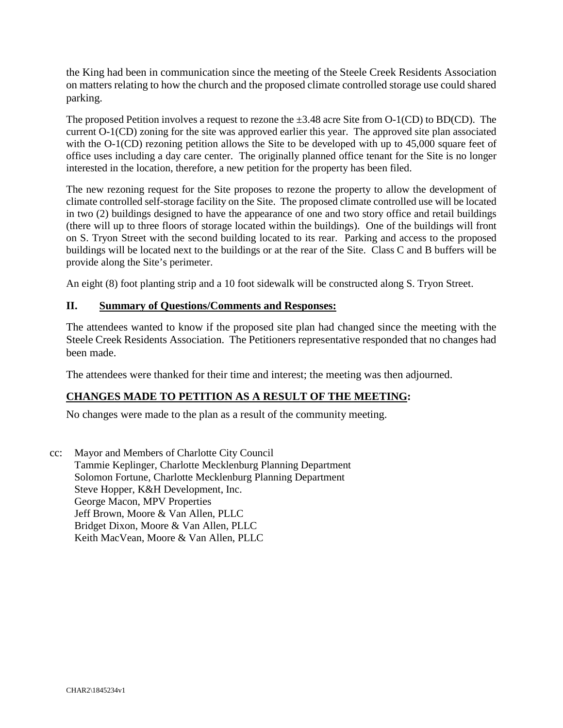the King had been in communication since the meeting of the Steele Creek Residents Association on matters relating to how the church and the proposed climate controlled storage use could shared parking.

The proposed Petition involves a request to rezone the  $\pm 3.48$  acre Site from O-1(CD) to BD(CD). The current O-1(CD) zoning for the site was approved earlier this year. The approved site plan associated with the O-1(CD) rezoning petition allows the Site to be developed with up to 45,000 square feet of office uses including a day care center. The originally planned office tenant for the Site is no longer interested in the location, therefore, a new petition for the property has been filed.

The new rezoning request for the Site proposes to rezone the property to allow the development of climate controlled self-storage facility on the Site. The proposed climate controlled use will be located in two (2) buildings designed to have the appearance of one and two story office and retail buildings (there will up to three floors of storage located within the buildings). One of the buildings will front on S. Tryon Street with the second building located to its rear. Parking and access to the proposed buildings will be located next to the buildings or at the rear of the Site. Class C and B buffers will be provide along the Site's perimeter.

An eight (8) foot planting strip and a 10 foot sidewalk will be constructed along S. Tryon Street.

## **II. Summary of Questions/Comments and Responses:**

The attendees wanted to know if the proposed site plan had changed since the meeting with the Steele Creek Residents Association. The Petitioners representative responded that no changes had been made.

The attendees were thanked for their time and interest; the meeting was then adjourned.

# **CHANGES MADE TO PETITION AS A RESULT OF THE MEETING:**

No changes were made to the plan as a result of the community meeting.

cc: Mayor and Members of Charlotte City Council Tammie Keplinger, Charlotte Mecklenburg Planning Department Solomon Fortune, Charlotte Mecklenburg Planning Department Steve Hopper, K&H Development, Inc. George Macon, MPV Properties Jeff Brown, Moore & Van Allen, PLLC Bridget Dixon, Moore & Van Allen, PLLC Keith MacVean, Moore & Van Allen, PLLC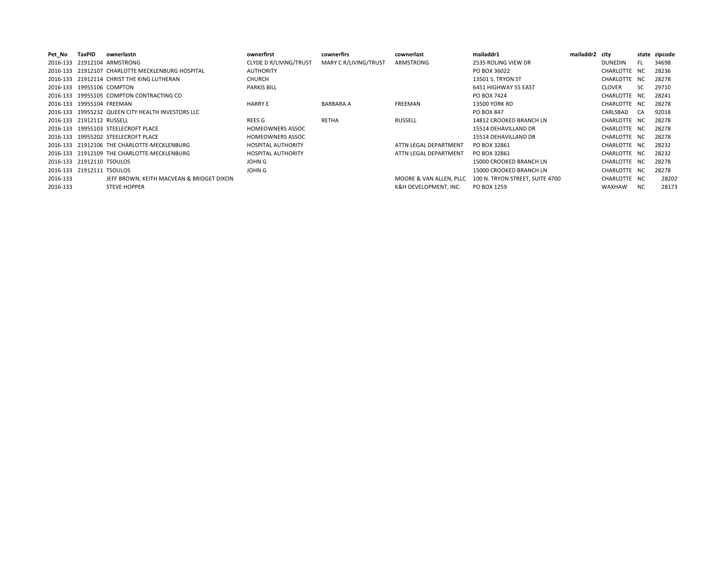| Pet No   | TaxPID                    | ownerlastn                                        | ownerfirst                | cownerfirs            | cownerlast              | mailaddr1                       | mailaddr2 city |               |     | state zipcode |
|----------|---------------------------|---------------------------------------------------|---------------------------|-----------------------|-------------------------|---------------------------------|----------------|---------------|-----|---------------|
|          |                           | 2016-133 21912104 ARMSTRONG                       | CLYDE D R/LIVING/TRUST    | MARY C R/LIVING/TRUST | ARMSTRONG               | 2535 ROLING VIEW DR             |                | DUNEDIN       | FL. | 34698         |
|          |                           | 2016-133 21912107 CHARLOTTE MECKLENBURG HOSPITAL  | <b>AUTHORITY</b>          |                       |                         | PO BOX 36022                    |                | CHARLOTTE NC  |     | 28236         |
|          |                           | 2016-133 21912114 CHRIST THE KING LUTHERAN        | <b>CHURCH</b>             |                       |                         | 13501 S. TRYON ST               |                | CHARLOTTE NC  |     | 28278         |
|          |                           | 2016-133 19955106 COMPTON                         | <b>PARKIS BILL</b>        |                       |                         | 6451 HIGHWAY 55 EAST            |                | <b>CLOVER</b> | SC. | 29710         |
|          |                           | 2016-133 19955105 COMPTON CONTRACTING CO          |                           |                       |                         | PO BOX 7424                     |                | CHARLOTTE NC  |     | 28241         |
|          | 2016-133 19955104 FREEMAN |                                                   | <b>HARRY E</b>            | <b>BARBARA A</b>      | <b>FREEMAN</b>          | <b>13500 YORK RD</b>            |                | CHARLOTTE NC  |     | 28278         |
|          |                           | 2016-133 19955232 QUEEN CITY HEALTH INVESTORS LLC |                           |                       |                         | PO BOX 847                      |                | CARLSBAD      | CA  | 92018         |
|          | 2016-133 21912112 RUSSELL |                                                   | REES G                    | RETHA                 | RUSSELL                 | 14812 CROOKED BRANCH LN         |                | CHARLOTTE NC  |     | 28278         |
|          |                           | 2016-133 19955103 STEELECROFT PLACE               | <b>HOMEOWNERS ASSOC</b>   |                       |                         | 15514 DEHAVILLAND DR            |                | CHARLOTTE NC  |     | 28278         |
|          |                           | 2016-133 19955202 STEELECROFT PLACE               | <b>HOMEOWNERS ASSOC</b>   |                       |                         | 15514 DEHAVILLAND DR            |                | CHARLOTTE NC  |     | 28278         |
|          |                           | 2016-133 21912106 THE CHARLOTTE-MECKLENBURG       | <b>HOSPITAL AUTHORITY</b> |                       | ATTN LEGAL DEPARTMENT   | PO BOX 32861                    |                | CHARLOTTE NC  |     | 28232         |
|          |                           | 2016-133 21912109 THE CHARLOTTE-MECKLENBURG       | <b>HOSPITAL AUTHORITY</b> |                       | ATTN LEGAL DEPARTMENT   | PO BOX 32861                    |                | CHARLOTTE NC  |     | 28232         |
|          | 2016-133 21912110 TSOULOS |                                                   | JOHN G                    |                       |                         | 15000 CROOKED BRANCH LN         |                | CHARLOTTE NC  |     | 28278         |
|          | 2016-133 21912111 TSOULOS |                                                   | <b>JOHN G</b>             |                       |                         | 15000 CROOKED BRANCH LN         |                | CHARLOTTE NC  |     | 28278         |
| 2016-133 |                           | JEFF BROWN, KEITH MACVEAN & BRIDGET DIXON         |                           |                       | MOORE & VAN ALLEN, PLLC | 100 N. TRYON STREET, SUITE 4700 |                | CHARLOTTE NC  |     | 28202         |
| 2016-133 |                           | <b>STEVE HOPPER</b>                               |                           |                       | K&H DEVELOPMENT. INC.   | PO BOX 1259                     |                | <b>WAXHAW</b> | NC. | 28173         |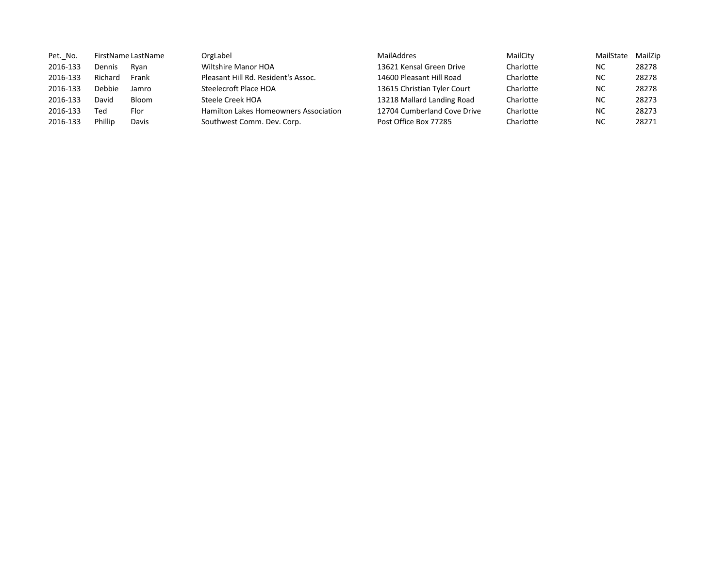| Pet. No. |         | FirstName LastName | OrgLabel                              | MailAddres                  | MailCity  | MailState | MailZip |
|----------|---------|--------------------|---------------------------------------|-----------------------------|-----------|-----------|---------|
| 2016-133 | Dennis  | Rvan               | Wiltshire Manor HOA                   | 13621 Kensal Green Drive    | Charlotte | NC        | 28278   |
| 2016-133 | Richard | Frank              | Pleasant Hill Rd. Resident's Assoc.   | 14600 Pleasant Hill Road    | Charlotte | <b>NC</b> | 28278   |
| 2016-133 | Debbie  | Jamro              | Steelecroft Place HOA                 | 13615 Christian Tyler Court | Charlotte | NC        | 28278   |
| 2016-133 | David   | Bloom              | Steele Creek HOA                      | 13218 Mallard Landing Road  | Charlotte | NC        | 28273   |
| 2016-133 | Ted     | Flor               | Hamilton Lakes Homeowners Association | 12704 Cumberland Cove Drive | Charlotte | NC        | 28273   |
| 2016-133 | Phillip | Davis              | Southwest Comm. Dev. Corp.            | Post Office Box 77285       | Charlotte | NC        | 28271   |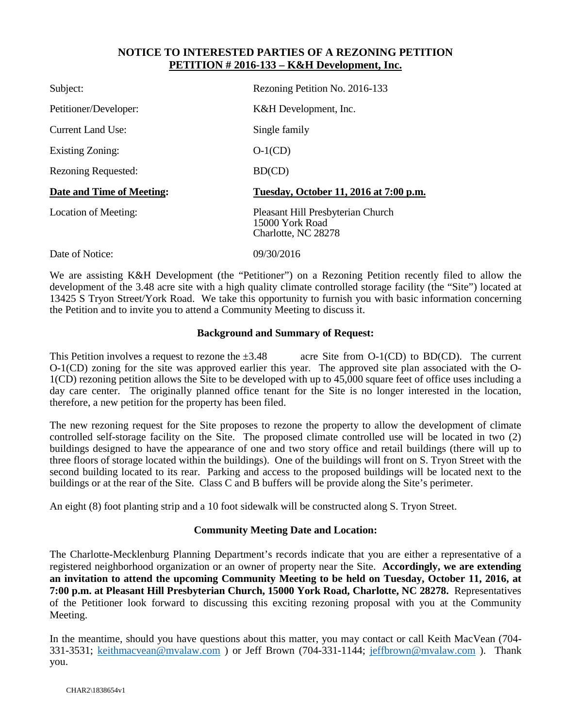## **NOTICE TO INTERESTED PARTIES OF A REZONING PETITION PETITION # 2016-133 – K&H Development, Inc.**

| Subject:                   | Rezoning Petition No. 2016-133                                              |
|----------------------------|-----------------------------------------------------------------------------|
| Petitioner/Developer:      | K&H Development, Inc.                                                       |
| <b>Current Land Use:</b>   | Single family                                                               |
| <b>Existing Zoning:</b>    | $O-1(CD)$                                                                   |
| <b>Rezoning Requested:</b> | BD(CD)                                                                      |
| Date and Time of Meeting:  | Tuesday, October 11, 2016 at 7:00 p.m.                                      |
| Location of Meeting:       | Pleasant Hill Presbyterian Church<br>15000 York Road<br>Charlotte, NC 28278 |
| Date of Notice:            | 09/30/2016                                                                  |

We are assisting K&H Development (the "Petitioner") on a Rezoning Petition recently filed to allow the development of the 3.48 acre site with a high quality climate controlled storage facility (the "Site") located at 13425 S Tryon Street/York Road. We take this opportunity to furnish you with basic information concerning the Petition and to invite you to attend a Community Meeting to discuss it.

#### **Background and Summary of Request:**

This Petition involves a request to rezone the  $\pm 3.48$  acre Site from O-1(CD) to BD(CD). The current O-1(CD) zoning for the site was approved earlier this year. The approved site plan associated with the O-1(CD) rezoning petition allows the Site to be developed with up to 45,000 square feet of office uses including a day care center. The originally planned office tenant for the Site is no longer interested in the location, therefore, a new petition for the property has been filed.

The new rezoning request for the Site proposes to rezone the property to allow the development of climate controlled self-storage facility on the Site. The proposed climate controlled use will be located in two (2) buildings designed to have the appearance of one and two story office and retail buildings (there will up to three floors of storage located within the buildings). One of the buildings will front on S. Tryon Street with the second building located to its rear. Parking and access to the proposed buildings will be located next to the buildings or at the rear of the Site. Class C and B buffers will be provide along the Site's perimeter.

An eight (8) foot planting strip and a 10 foot sidewalk will be constructed along S. Tryon Street.

## **Community Meeting Date and Location:**

The Charlotte-Mecklenburg Planning Department's records indicate that you are either a representative of a registered neighborhood organization or an owner of property near the Site. **Accordingly, we are extending an invitation to attend the upcoming Community Meeting to be held on Tuesday, October 11, 2016, at 7:00 p.m. at Pleasant Hill Presbyterian Church, 15000 York Road, Charlotte, NC 28278.** Representatives of the Petitioner look forward to discussing this exciting rezoning proposal with you at the Community Meeting.

In the meantime, should you have questions about this matter, you may contact or call Keith MacVean (704- 331-3531; keithmacvean@mvalaw.com ) or Jeff Brown (704-331-1144; jeffbrown@mvalaw.com ). Thank you.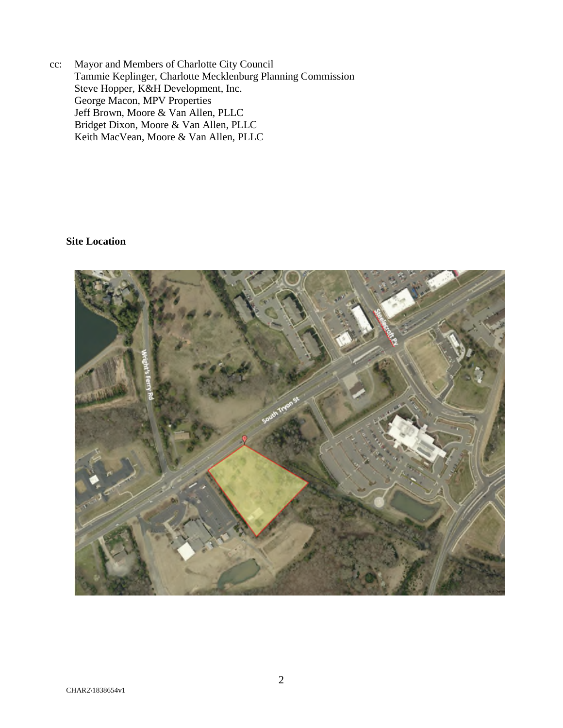cc: Mayor and Members of Charlotte City Council Tammie Keplinger, Charlotte Mecklenburg Planning Commission Steve Hopper, K&H Development, Inc. George Macon, MPV Properties Jeff Brown, Moore & Van Allen, PLLC Bridget Dixon, Moore & Van Allen, PLLC Keith MacVean, Moore & Van Allen, PLLC

#### **Site Location**